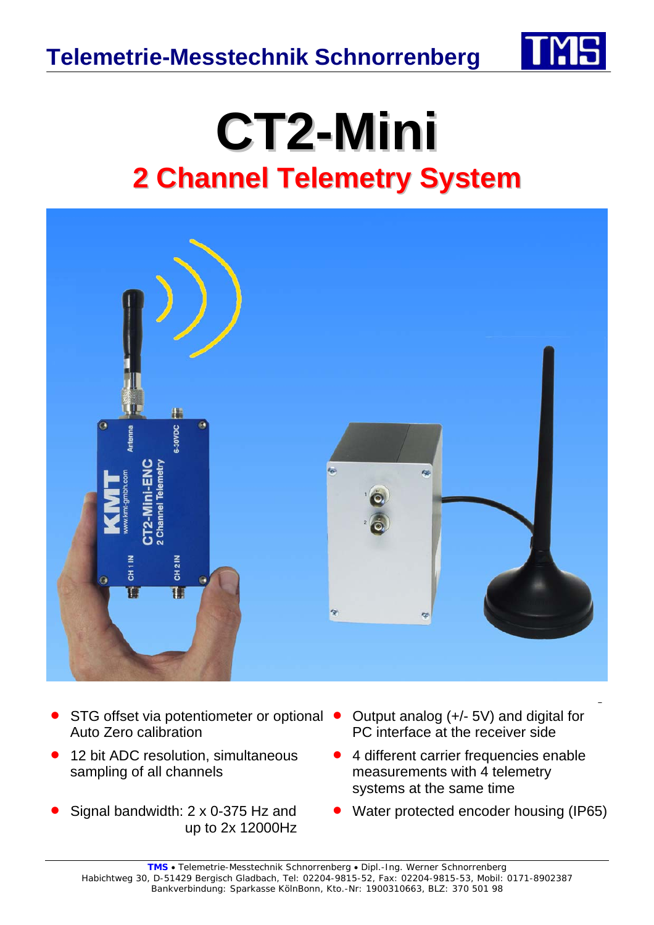

## **CT2-Mini 2 Channel Telemetry System**



- STG offset via potentiometer or optional  $\bullet$ Auto Zero calibration
- 12 bit ADC resolution, simultaneous sampling of all channels
- Signal bandwidth: 2 x 0-375 Hz and up to 2x 12000Hz
- Output analog (+/- 5V) and digital for PC interface at the receiver side
- 4 different carrier frequencies enable measurements with 4 telemetry systems at the same time
- Water protected encoder housing (IP65)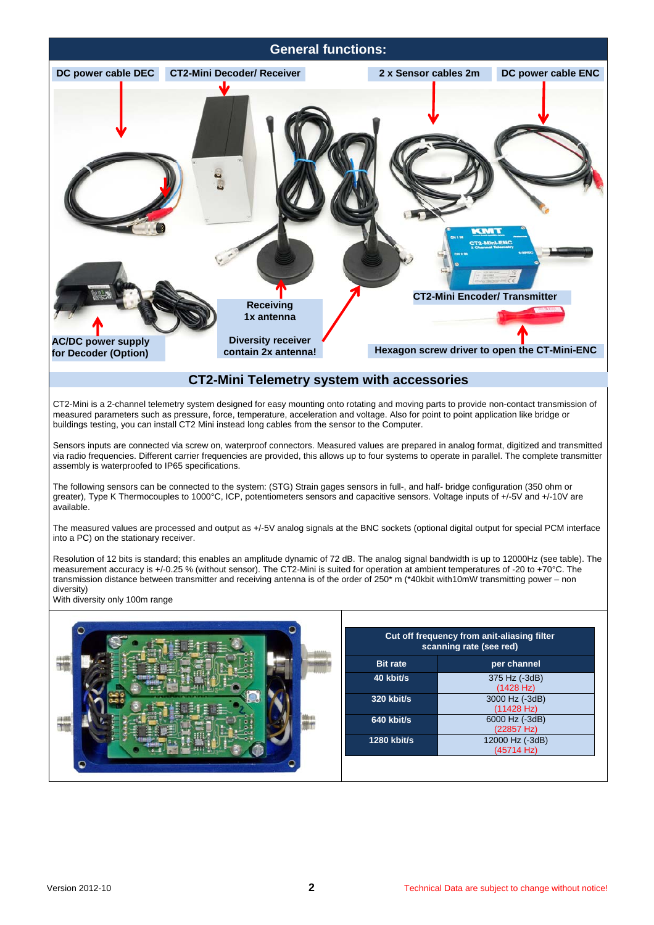![](_page_1_Picture_0.jpeg)